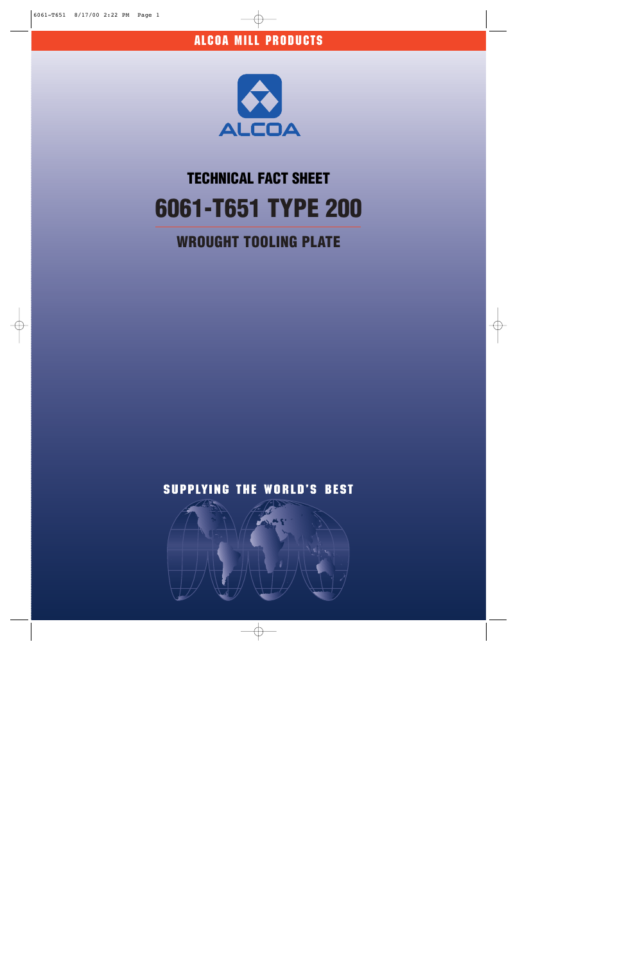

# **6061-T651 TYPE 200 TECHNICAL FACT SHEET**

## **WROUGHT TOOLING PLATE**



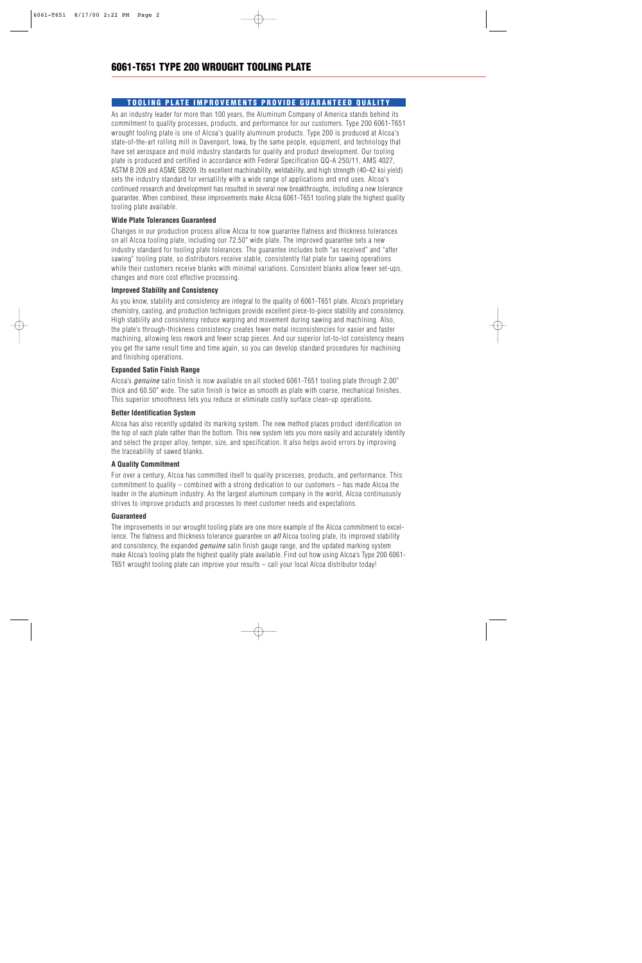### **TOOLING PLATE IMPROVEMENTS PROVIDE GUARANTEED QUALITY**

As an industry leader for more than 100 years, the Aluminum Company of America stands behind its commitment to quality processes, products, and performance for our customers. Type 200 6061-T651 wrought tooling plate is one of Alcoa's quality aluminum products. Type 200 is produced at Alcoa's state-of-the-art rolling mill in Davenport, Iowa, by the same people, equipment, and technology that have set aerospace and mold industry standards for quality and product development. Our tooling plate is produced and certified in accordance with Federal Specification QQ-A 250/11, AMS 4027, ASTM B 209 and ASME SB209. Its excellent machinability, weldability, and high strength (40-42 ksi yield) sets the industry standard for versatility with a wide range of applications and end uses. Alcoa's continued research and development has resulted in several new breakthroughs, including a new tolerance guarantee. When combined, these improvements make Alcoa 6061-T651 tooling plate the highest quality tooling plate available.

#### **Wide Plate Tolerances Guaranteed**

Changes in our production process allow Alcoa to now guarantee flatness and thickness tolerances on all Alcoa tooling plate, including our 72.50" wide plate. The improved guarantee sets a new industry standard for tooling plate tolerances. The guarantee includes both "as received" and "after sawing" tooling plate, so distributors receive stable, consistently flat plate for sawing operations while their customers receive blanks with minimal variations. Consistent blanks allow fewer set-ups, changes and more cost effective processing.

#### **Improved Stability and Consistency**

As you know, stability and consistency are integral to the quality of 6061-T651 plate. Alcoa's proprietary chemistry, casting, and production techniques provide excellent piece-to-piece stability and consistency. High stability and consistency reduce warping and movement during sawing and machining. Also, the plate's through-thickness consistency creates fewer metal inconsistencies for easier and faster machining, allowing less rework and fewer scrap pieces. And our superior lot-to-lot consistency means you get the same result time and time again, so you can develop standard procedures for machining and finishing operations.

#### **Expanded Satin Finish Range**

Alcoa's *genuine* satin finish is now available on all stocked 6061-T651 tooling plate through 2.00" thick and 60.50" wide. The satin finish is twice as smooth as plate with coarse, mechanical finishes. This superior smoothness lets you reduce or eliminate costly surface clean-up operations.

#### **Better Identification System**

Alcoa has also recently updated its marking system. The new method places product identification on the top of each plate rather than the bottom. This new system lets you more easily and accurately identify and select the proper alloy, temper, size, and specification. It also helps avoid errors by improving the traceability of sawed blanks.

#### **A Quality Commitment**

For over a century, Alcoa has committed itself to quality processes, products, and performance. This commitment to quality – combined with a strong dedication to our customers – has made Alcoa the leader in the aluminum industry. As the largest aluminum company in the world, Alcoa continuously strives to improve products and processes to meet customer needs and expectations.

#### **Guaranteed**

The improvements in our wrought tooling plate are one more example of the Alcoa commitment to excellence. The flatness and thickness tolerance guarantee on *all* Alcoa tooling plate, its improved stability and consistency, the expanded *genuine* satin finish gauge range, and the updated marking system make Alcoa's tooling plate the highest quality plate available. Find out how using Alcoa's Type 200 6061- T651 wrought tooling plate can improve your results – call your local Alcoa distributor today!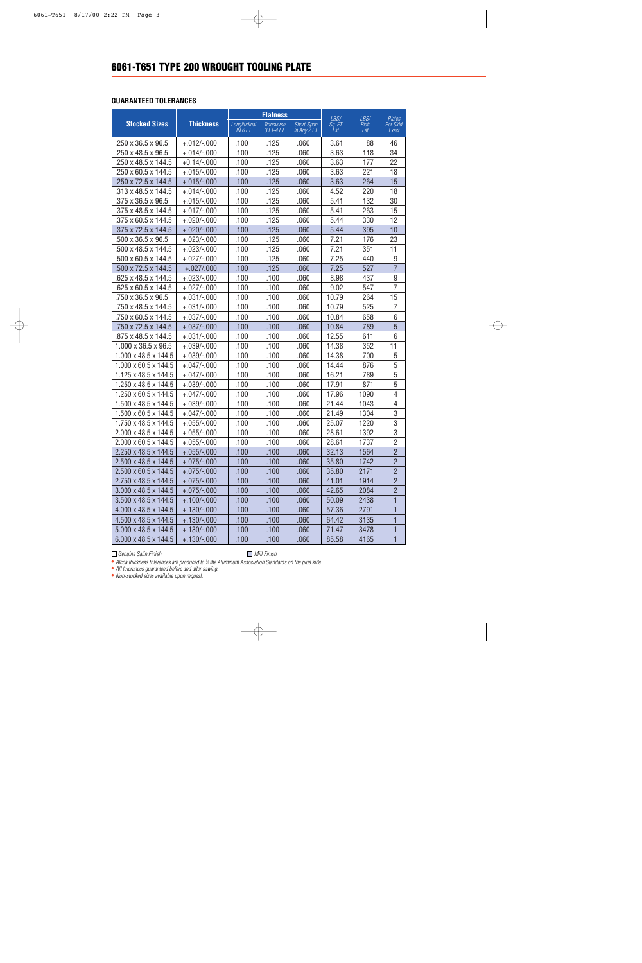#### **GUARANTEED TOLERANCES**

|                                  | <b>Thickness</b> | <b>Flatness</b>           |                                |                           | LBS/           | LBS/          | <b>Plates</b>     |
|----------------------------------|------------------|---------------------------|--------------------------------|---------------------------|----------------|---------------|-------------------|
| <b>Stocked Sizes</b>             |                  | Longitudinal<br>I N 6 F I | <b>Transverse</b><br>3 FT-4 FT | Short-Span<br>In Any 2 FT | Sa. FT<br>Est. | Plate<br>Est. | Per Skid<br>Exact |
| $.250 \times 36.5 \times 96.5$   | $+.012/-.000$    | .100                      | .125                           | .060                      | 3.61           | 88            | 46                |
| .250 x 48.5 x 96.5               | $+.014/-.000$    | .100                      | .125                           | .060                      | 3.63           | 118           | 34                |
| .250 x 48.5 x 144.5              | $+0.14/-000$     | .100                      | .125                           | .060                      | 3.63           | 177           | 22                |
| .250 x 60.5 x 144.5              | $+.015/-.000$    | .100                      | .125                           | .060                      | 3.63           | 221           | 18                |
| .250 x 72.5 x 144.5              | $+.015/-.000$    | .100                      | .125                           | .060                      | 3.63           | 264           | 15                |
| .313 x 48.5 x 144.5              | $+.014/-.000$    | .100                      | .125                           | .060                      | 4.52           | 220           | 18                |
| .375 x 36.5 x 96.5               | $+.015/-.000$    | .100                      | .125                           | .060                      | 5.41           | 132           | 30                |
| .375 x 48.5 x 144.5              | $+.017/-.000$    | .100                      | .125                           | .060                      | 5.41           | 263           | 15                |
| .375 x 60.5 x 144.5              | $+.020/-.000$    | .100                      | .125                           | .060                      | 5.44           | 330           | 12                |
| .375 x 72.5 x 144.5              | $+.020/-.000$    | .100                      | .125                           | .060                      | 5.44           | 395           | 10                |
| $.500 \times 36.5 \times 96.5$   | $+.023/-.000$    | .100                      | .125                           | .060                      | 7.21           | 176           | 23                |
| .500 x 48.5 x 144.5              | $+.023/-.000$    | .100                      | .125                           | .060                      | 7.21           | 351           | 11                |
| .500 x 60.5 x 144.5              | $+.027/-.000$    | .100                      | .125                           | .060                      | 7.25           | 440           | 9                 |
| .500 x 72.5 x 144.5              | $+.027/.000$     | .100                      | .125                           | .060                      | 7.25           | 527           | $\overline{7}$    |
| .625 x 48.5 x 144.5              | $+.023/-.000$    | .100                      | .100                           | .060                      | 8.98           | 437           | 9                 |
| .625 x 60.5 x 144.5              | $+.027/-.000$    | .100                      | .100                           | .060                      | 9.02           | 547           | $\overline{7}$    |
| .750 x 36.5 x 96.5               | $+.031/-.000$    | .100                      | .100                           | .060                      | 10.79          | 264           | 15                |
| .750 x 48.5 x 144.5              | $+.031/-.000$    | .100                      | .100                           | .060                      | 10.79          | 525           | $\overline{7}$    |
| .750 x 60.5 x 144.5              | $+.037/-.000$    | .100                      | .100                           | .060                      | 10.84          | 658           | 6                 |
| .750 x 72.5 x 144.5              | $+.037/-.000$    | .100                      | .100                           | .060                      | 10.84          | 789           | $\overline{5}$    |
| .875 x 48.5 x 144.5              | $+.031/-.000$    | .100                      | .100                           | .060                      | 12.55          | 611           | 6                 |
| 1.000 x 36.5 x 96.5              | $+.039/-.000$    | .100                      | .100                           | .060                      | 14.38          | 352           | 11                |
| $1.000 \times 48.5 \times 144.5$ | $+.039/-.000$    | .100                      | .100                           | .060                      | 14.38          | 700           | 5                 |
| $1.000 \times 60.5 \times 144.5$ | $+.047/-.000$    | .100                      | .100                           | .060                      | 14.44          | 876           | 5                 |
| $1.125 \times 48.5 \times 144.5$ | $+.047/-.000$    | .100                      | .100                           | .060                      | 16.21          | 789           | 5                 |
| 1.250 x 48.5 x 144.5             | $+.039/-.000$    | .100                      | .100                           | .060                      | 17.91          | 871           | 5                 |
| $1.250 \times 60.5 \times 144.5$ | $+.047/-.000$    | .100                      | .100                           | .060                      | 17.96          | 1090          | $\overline{4}$    |
| $1.500 \times 48.5 \times 144.5$ | $+.039/-.000$    | .100                      | .100                           | .060                      | 21.44          | 1043          | 4                 |
| $1.500 \times 60.5 \times 144.5$ | $+.047/-.000$    | .100                      | .100                           | .060                      | 21.49          | 1304          | 3                 |
| $1.750 \times 48.5 \times 144.5$ | $+.055/-.000$    | .100                      | .100                           | .060                      | 25.07          | 1220          | 3                 |
| 2.000 x 48.5 x 144.5             | $+.055/-.000$    | .100                      | .100                           | .060                      | 28.61          | 1392          | 3                 |
| $2.000 \times 60.5 \times 144.5$ | $+.055/-.000$    | .100                      | .100                           | .060                      | 28.61          | 1737          | $\overline{2}$    |
| 2.250 x 48.5 x 144.5             | $+.055/-.000$    | .100                      | .100                           | .060                      | 32.13          | 1564          | $\overline{2}$    |
| 2.500 x 48.5 x 144.5             | $+.075/-.000$    | .100                      | .100                           | .060                      | 35.80          | 1742          | $\overline{c}$    |
| $2.500 \times 60.5 \times 144.5$ | $+.075/-.000$    | .100                      | .100                           | .060                      | 35.80          | 2171          | $\overline{c}$    |
| 2.750 x 48.5 x 144.5             | $+.075/-.000$    | .100                      | .100                           | .060                      | 41.01          | 1914          | $\overline{c}$    |
| $3.000 \times 48.5 \times 144.5$ | $+.075/-.000$    | .100                      | .100                           | .060                      | 42.65          | 2084          | $\overline{c}$    |
| $3.500 \times 48.5 \times 144.5$ | $+.100/-.000$    | .100                      | .100                           | .060                      | 50.09          | 2438          | 1                 |
| 4.000 x 48.5 x 144.5             | $+.130/-.000$    | .100                      | .100                           | .060                      | 57.36          | 2791          | 1                 |
| 4.500 x 48.5 x 144.5             | $+.130/-.000$    | .100                      | .100                           | .060                      | 64.42          | 3135          | 1                 |
| 5.000 x 48.5 x 144.5             | $+.130/-.000$    | .100                      | .100                           | .060                      | 71.47          | 3478          | 1                 |
| 6.000 x 48.5 x 144.5             | $+.130/-.000$    | .100                      | .100                           | .060                      | 85.58          | 4165          | 1                 |

*Genuine Satin Finish Mill Finish* 

• *Alcoa thickness tolerances are produced to 1 ⁄2 the Aluminum Association Standards on the plus side.*  • *All tolerances guaranteed before and after sawing.*

• *Non-stocked sizes available upon request.*